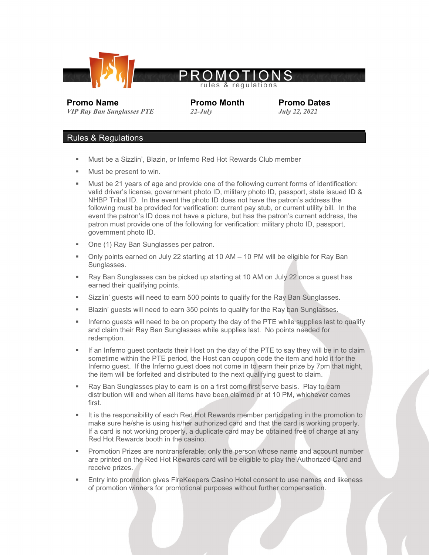

*<i>VIP Ray Ban Sunglasses PTE* 

**Promo Name Promo Month Promo Dates**<br> *Promo Name Promo Month July 22, 2022* 

## Rules & Regulations

- Must be a Sizzlin', Blazin, or Inferno Red Hot Rewards Club member
- Must be present to win.
- Must be 21 years of age and provide one of the following current forms of identification: valid driver's license, government photo ID, military photo ID, passport, state issued ID & NHBP Tribal ID. In the event the photo ID does not have the patron's address the following must be provided for verification: current pay stub, or current utility bill. In the event the patron's ID does not have a picture, but has the patron's current address, the patron must provide one of the following for verification: military photo ID, passport, government photo ID.
- One (1) Ray Ban Sunglasses per patron.
- Only points earned on July 22 starting at 10 AM 10 PM will be eligible for Ray Ban Sunglasses.
- Ray Ban Sunglasses can be picked up starting at 10 AM on July 22 once a guest has earned their qualifying points.
- **Sizzlin' guests will need to earn 500 points to qualify for the Ray Ban Sunglasses.**
- Blazin' guests will need to earn 350 points to qualify for the Ray ban Sunglasses.
- Inferno guests will need to be on property the day of the PTE while supplies last to qualify and claim their Ray Ban Sunglasses while supplies last. No points needed for redemption.
- **If an Inferno guest contacts their Host on the day of the PTE to say they will be in to claim** sometime within the PTE period, the Host can coupon code the item and hold it for the Inferno guest. If the Inferno guest does not come in to earn their prize by 7pm that night, the item will be forfeited and distributed to the next qualifying guest to claim.
- Ray Ban Sunglasses play to earn is on a first come first serve basis. Play to earn distribution will end when all items have been claimed or at 10 PM, whichever comes first.
- It is the responsibility of each Red Hot Rewards member participating in the promotion to make sure he/she is using his/her authorized card and that the card is working properly. If a card is not working properly, a duplicate card may be obtained free of charge at any Red Hot Rewards booth in the casino.
- Promotion Prizes are nontransferable; only the person whose name and account number are printed on the Red Hot Rewards card will be eligible to play the Authorized Card and receive prizes.
- Entry into promotion gives FireKeepers Casino Hotel consent to use names and likeness of promotion winners for promotional purposes without further compensation.